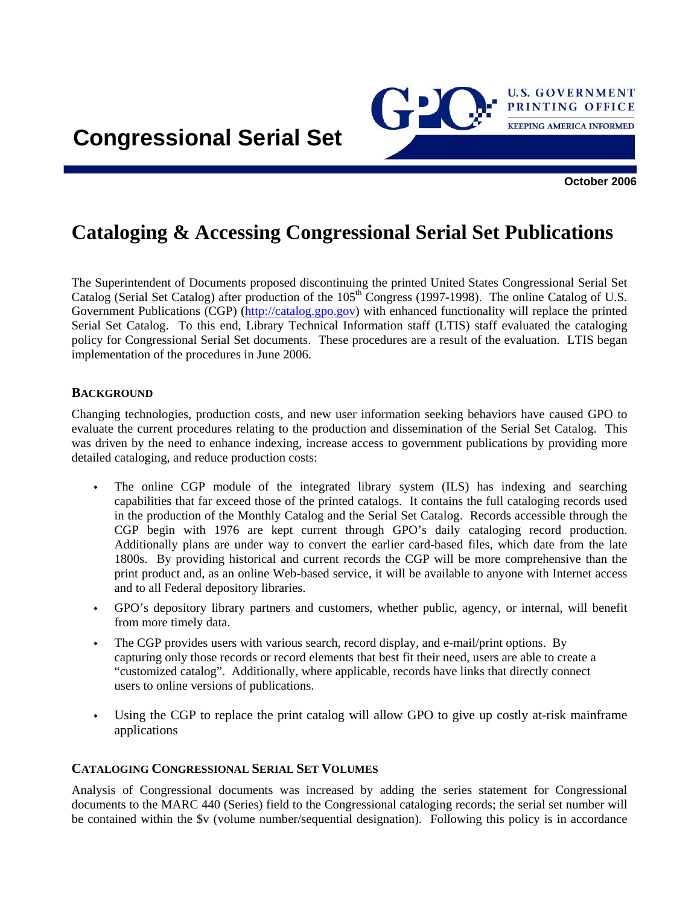

# **Cataloging & Accessing Congressional Serial Set Publications**

The Superintendent of Documents proposed discontinuing the printed United States Congressional Serial Set Catalog (Serial Set Catalog) after production of the 105<sup>th</sup> Congress (1997-1998). The online Catalog of U.S. Government Publications (CGP) [\(http://catalog.gpo.gov\)](http://catalog.gpo.gov/) with enhanced functionality will replace the printed Serial Set Catalog. To this end, Library Technical Information staff (LTIS) staff evaluated the cataloging policy for Congressional Serial Set documents. These procedures are a result of the evaluation. LTIS began implementation of the procedures in June 2006.

#### **BACKGROUND**

Changing technologies, production costs, and new user information seeking behaviors have caused GPO to evaluate the current procedures relating to the production and dissemination of the Serial Set Catalog. This was driven by the need to enhance indexing, increase access to government publications by providing more detailed cataloging, and reduce production costs:

- The online CGP module of the integrated library system (ILS) has indexing and searching capabilities that far exceed those of the printed catalogs. It contains the full cataloging records used in the production of the Monthly Catalog and the Serial Set Catalog. Records accessible through the CGP begin with 1976 are kept current through GPO's daily cataloging record production. Additionally plans are under way to convert the earlier card-based files, which date from the late 1800s. By providing historical and current records the CGP will be more comprehensive than the print product and, as an online Web-based service, it will be available to anyone with Internet access and to all Federal depository libraries.
- GPO's depository library partners and customers, whether public, agency, or internal, will benefit from more timely data.
- The CGP provides users with various search, record display, and e-mail/print options. By capturing only those records or record elements that best fit their need, users are able to create a "customized catalog". Additionally, where applicable, records have links that directly connect users to online versions of publications.
- Using the CGP to replace the print catalog will allow GPO to give up costly at-risk mainframe applications

#### **CATALOGING CONGRESSIONAL SERIAL SET VOLUMES**

Analysis of Congressional documents was increased by adding the series statement for Congressional documents to the MARC 440 (Series) field to the Congressional cataloging records; the serial set number will be contained within the \$v (volume number/sequential designation). Following this policy is in accordance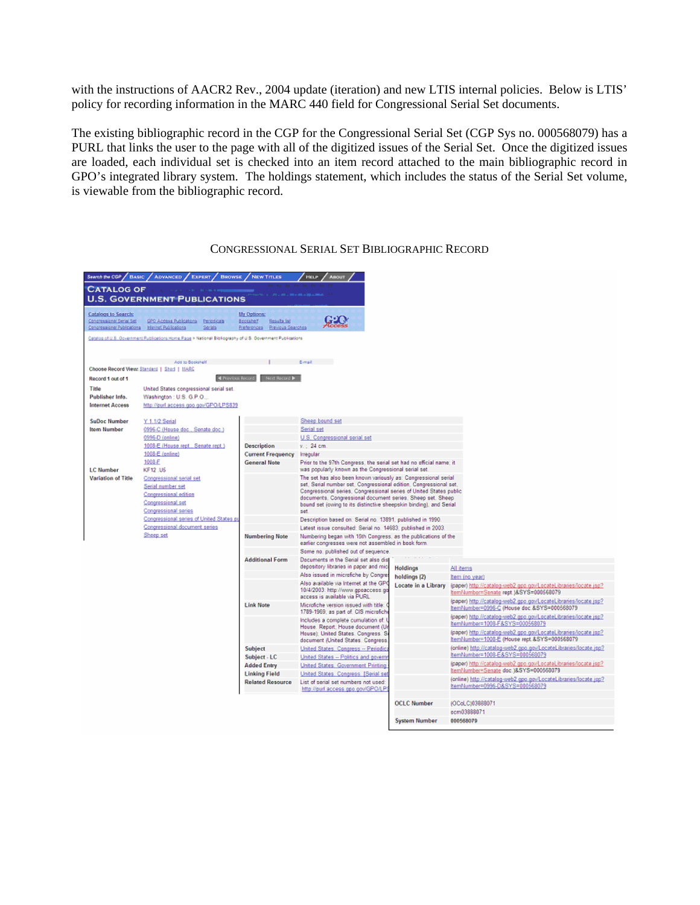with the instructions of AACR2 Rev., 2004 update (iteration) and new LTIS internal policies. Below is LTIS' policy for recording information in the MARC 440 field for Congressional Serial Set documents.

The existing bibliographic record in the CGP for the Congressional Serial Set (CGP Sys no. 000568079) has a PURL that links the user to the page with all of the digitized issues of the Serial Set. Once the digitized issues are loaded, each individual set is checked into an item record attached to the main bibliographic record in GPO's integrated library system. The holdings statement, which includes the status of the Serial Set volume, is viewable from the bibliographic record.

| Search the CGP / BASIC                                                                                     | <b>ADVANCED</b><br><b>EXPERT</b><br><b>BROWSE</b>                                                                   | <b>NEW TITLES</b>                                                              | <b>HELP</b><br><b>ABOUT</b>                                                                                                                                                                                                                                                                                                                           |                      |                                                                                                                 |  |  |  |
|------------------------------------------------------------------------------------------------------------|---------------------------------------------------------------------------------------------------------------------|--------------------------------------------------------------------------------|-------------------------------------------------------------------------------------------------------------------------------------------------------------------------------------------------------------------------------------------------------------------------------------------------------------------------------------------------------|----------------------|-----------------------------------------------------------------------------------------------------------------|--|--|--|
| <b>CATALOG OF</b><br><b>U.S. GOVERNMENT PUBLICATIONS</b>                                                   |                                                                                                                     |                                                                                |                                                                                                                                                                                                                                                                                                                                                       |                      |                                                                                                                 |  |  |  |
| <b>Catalogs to Search:</b><br>Congressional Serial Sec<br>Congressioner Publications Internet Publications | GPO Access Publications Periodicals<br>Serials                                                                      | <b>My Options:</b><br>Bootshorf<br>Rosula lat<br>Preferences Previous Searches |                                                                                                                                                                                                                                                                                                                                                       |                      |                                                                                                                 |  |  |  |
|                                                                                                            | Catalog of U.S. Government Publications Home Page > National Bibliography of U.S. Government Publications           |                                                                                |                                                                                                                                                                                                                                                                                                                                                       |                      |                                                                                                                 |  |  |  |
|                                                                                                            |                                                                                                                     |                                                                                |                                                                                                                                                                                                                                                                                                                                                       |                      |                                                                                                                 |  |  |  |
|                                                                                                            | Add to Bookshelf                                                                                                    |                                                                                | E-mail in the                                                                                                                                                                                                                                                                                                                                         |                      |                                                                                                                 |  |  |  |
|                                                                                                            | Choose Record View: Standard   Short   HARC                                                                         |                                                                                |                                                                                                                                                                                                                                                                                                                                                       |                      |                                                                                                                 |  |  |  |
| Record 1 out of 1                                                                                          | <b>K Previous Record</b>                                                                                            | Next Record D                                                                  |                                                                                                                                                                                                                                                                                                                                                       |                      |                                                                                                                 |  |  |  |
| Title                                                                                                      | United States congressional serial set.                                                                             |                                                                                |                                                                                                                                                                                                                                                                                                                                                       |                      |                                                                                                                 |  |  |  |
| Publisher Info.                                                                                            | Washington: U.S. G.P.O.,                                                                                            |                                                                                |                                                                                                                                                                                                                                                                                                                                                       |                      |                                                                                                                 |  |  |  |
| <b>Internet Access</b>                                                                                     | http://purl.access.goo.gov/GPO/LPS839                                                                               |                                                                                |                                                                                                                                                                                                                                                                                                                                                       |                      |                                                                                                                 |  |  |  |
| <b>SuDoc Number</b>                                                                                        | Y 1.1/2:Serial                                                                                                      |                                                                                | Sheep bound set                                                                                                                                                                                                                                                                                                                                       |                      |                                                                                                                 |  |  |  |
| <b>Item Number</b>                                                                                         | 0996-C (House doc., Senate doc.)                                                                                    |                                                                                | Serial set                                                                                                                                                                                                                                                                                                                                            |                      |                                                                                                                 |  |  |  |
|                                                                                                            | 0996-D (online)                                                                                                     |                                                                                | U.S. Congressional serial set                                                                                                                                                                                                                                                                                                                         |                      |                                                                                                                 |  |  |  |
|                                                                                                            | 1008-E (House rept., Senate rept.)                                                                                  | <b>Description</b>                                                             | $v = 24$ cm.                                                                                                                                                                                                                                                                                                                                          |                      |                                                                                                                 |  |  |  |
|                                                                                                            | 1008-E (online)                                                                                                     | <b>Current Frequency</b>                                                       | Irregular                                                                                                                                                                                                                                                                                                                                             |                      |                                                                                                                 |  |  |  |
| <b>LC Number</b>                                                                                           | 1008-F<br><b>KF12.U5</b>                                                                                            | <b>General Note</b>                                                            | Prior to the 97th Congress, the serial set had no official name; it<br>was popularly known as the Congressional serial set.                                                                                                                                                                                                                           |                      |                                                                                                                 |  |  |  |
| <b>Variation of Title</b>                                                                                  | Congressional serial set<br>Serial number set<br>Congressional edition<br>Congressional set<br>Congressional series |                                                                                | The set has also been known variously as: Congressional serial<br>set, Serial number set, Congressional edition, Congressional set,<br>Congressional series, Congressional series of United States public<br>documents, Congressional document series, Sheep set, Sheep<br>bound set (owing to its distinctive sheepskin binding), and Serial<br>set. |                      |                                                                                                                 |  |  |  |
|                                                                                                            | Congressional series of United States pu                                                                            |                                                                                | Description based on: Serial no. 13891, published in 1990.                                                                                                                                                                                                                                                                                            |                      |                                                                                                                 |  |  |  |
|                                                                                                            | Congressional document series                                                                                       |                                                                                | Latest issue consulted: Serial no. 14683, published in 2003.                                                                                                                                                                                                                                                                                          |                      |                                                                                                                 |  |  |  |
|                                                                                                            | Sheep set                                                                                                           | <b>Numbering Note</b>                                                          | Numbering began with 15th Congress, as the publications of the<br>earlier congresses were not assembled in book form.                                                                                                                                                                                                                                 |                      |                                                                                                                 |  |  |  |
|                                                                                                            |                                                                                                                     |                                                                                | Some no, published out of sequence.                                                                                                                                                                                                                                                                                                                   |                      |                                                                                                                 |  |  |  |
|                                                                                                            |                                                                                                                     | <b>Additional Form</b>                                                         | Documents in the Serial set also dis-                                                                                                                                                                                                                                                                                                                 |                      |                                                                                                                 |  |  |  |
|                                                                                                            |                                                                                                                     |                                                                                | depository libraries in paper and mici                                                                                                                                                                                                                                                                                                                | <b>Holdings</b>      | All items                                                                                                       |  |  |  |
|                                                                                                            |                                                                                                                     |                                                                                | Also issued in microfiche by Congre                                                                                                                                                                                                                                                                                                                   | holdings (2)         | Item (no year)                                                                                                  |  |  |  |
|                                                                                                            |                                                                                                                     |                                                                                | Also available via Internet at the GPO<br>10/4/2003: http://www.gpoaccess.gr<br>access is available via PURL                                                                                                                                                                                                                                          | Locate in a Library  | (paper) http://catalog-web2.gpp.gov/LocateLibraries/locate.jsp?<br>ItemNumber=Senate rept.)&SYS=000568079       |  |  |  |
|                                                                                                            |                                                                                                                     | <b>Link Note</b>                                                               | Microfiche version issued with title: (<br>1789-1969; as part of: CIS microfich                                                                                                                                                                                                                                                                       |                      | (paper) http://catalog-web2.gpo.gov/LocateLibraries/locate.jsp?<br>ItemNumber=0996-C (House doc.&SYS=000668079  |  |  |  |
|                                                                                                            |                                                                                                                     |                                                                                | Includes a complete cumulation of:<br>House. Report: House document (U)                                                                                                                                                                                                                                                                               |                      | (paper) http://catalog-web2.gpo.gov/LocateLibraries/locate.jsp?<br>ItemNumber=1008-F&SYS=000568079              |  |  |  |
|                                                                                                            |                                                                                                                     |                                                                                | House); United States. Congress. S.<br>document (United States, Congress,                                                                                                                                                                                                                                                                             |                      | (paper) http://catalog-web2.gpo.gov/LocateLibraries/locate.jsp?<br>ItemNumber=1008-E (House rept.&SYS=000568079 |  |  |  |
|                                                                                                            |                                                                                                                     | Subject                                                                        | United States, Congress -- Periodic:                                                                                                                                                                                                                                                                                                                  |                      | (online) http://catalog-web2.gpo.gov/LocateLibraries/locate.isp?<br>ItemNumber=1008-E&SYS=000568079             |  |  |  |
|                                                                                                            |                                                                                                                     | Subject - LC                                                                   | United States -- Politics and govern<br>United States, Government Printing                                                                                                                                                                                                                                                                            |                      | (paper) http://catalog-web2.gpo.gov/LocateLibraries/locate.jsp?                                                 |  |  |  |
|                                                                                                            |                                                                                                                     | <b>Added Entry</b><br><b>Linking Field</b>                                     | United States, Congress, [Serial set                                                                                                                                                                                                                                                                                                                  |                      | ItemNumber=Senate doc.)&SYS=000568079                                                                           |  |  |  |
|                                                                                                            |                                                                                                                     | <b>Related Resource</b>                                                        | List of serial set numbers not used:<br>http://purl.access.gpo.gov/GPO/LP                                                                                                                                                                                                                                                                             |                      | (online) http://catalog-web2.gpo.gov/LocateLibraries/locate.jsp?<br>ItemNumber=0996-D&SYS=000568079             |  |  |  |
|                                                                                                            |                                                                                                                     |                                                                                |                                                                                                                                                                                                                                                                                                                                                       |                      |                                                                                                                 |  |  |  |
|                                                                                                            |                                                                                                                     |                                                                                |                                                                                                                                                                                                                                                                                                                                                       | <b>OCLC Number</b>   | (OCoLC)03888071                                                                                                 |  |  |  |
|                                                                                                            |                                                                                                                     |                                                                                |                                                                                                                                                                                                                                                                                                                                                       |                      | ocm03888071                                                                                                     |  |  |  |
|                                                                                                            |                                                                                                                     |                                                                                |                                                                                                                                                                                                                                                                                                                                                       | <b>System Number</b> | 000568079                                                                                                       |  |  |  |

# CONGRESSIONAL SERIAL SET BIBLIOGRAPHIC RECORD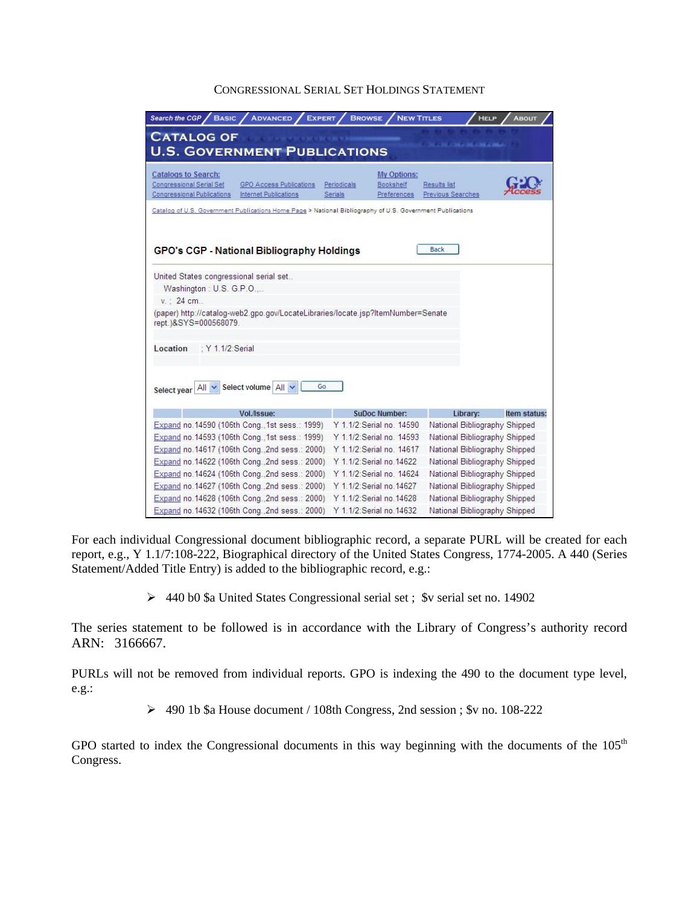#### CONGRESSIONAL SERIAL SET HOLDINGS STATEMENT

| Search the CGP<br><b>BASIC</b><br><b>ADVANCED</b><br><b>EXPERT</b>                                                                                            | <b>BROWSE</b>             | <b>NEW TITLES</b>                       | <b>HELP</b>                       | <b>ABOUT</b> |  |
|---------------------------------------------------------------------------------------------------------------------------------------------------------------|---------------------------|-----------------------------------------|-----------------------------------|--------------|--|
| <b>CATALOG OF</b><br><b>CONTRACTOR CONTRACTOR</b><br><b>U.S. GOVERNMENT PUBLICATIONS</b>                                                                      |                           |                                         |                                   |              |  |
| <b>Catalogs to Search:</b><br>Congressional Serial Set<br><b>GPO Access Publications</b><br><b>Congressional Publications</b><br><b>Internet Publications</b> | Periodicals<br>Serials    | My Options:<br>Bookshelf<br>Preferences | Results list<br>Previous Searches |              |  |
| Catalog of U.S. Government Publications Home Page > National Bibliography of U.S. Government Publications                                                     |                           |                                         |                                   |              |  |
| <b>GPO's CGP - National Bibliography Holdings</b>                                                                                                             |                           |                                         | <b>Back</b>                       |              |  |
| United States congressional serial set.                                                                                                                       |                           |                                         |                                   |              |  |
| Washington: U.S. G.P.O                                                                                                                                        |                           |                                         |                                   |              |  |
| v. : 24 cm                                                                                                                                                    |                           |                                         |                                   |              |  |
| (paper) http://catalog-web2.gpo.gov/LocateLibraries/locate.jsp?ltemNumber=Senate<br>rept.)&SYS=000568079.                                                     |                           |                                         |                                   |              |  |
| Location<br>: Y 1.1/2:Serial                                                                                                                                  |                           |                                         |                                   |              |  |
| Select volume All<br>Go<br>All<br>Select year                                                                                                                 |                           |                                         |                                   |              |  |
| Vol./Issue:                                                                                                                                                   |                           | <b>SuDoc Number:</b>                    | Library:                          | Item status: |  |
| Expand no. 14590 (106th Cong., 1st sess.: 1999)                                                                                                               |                           | Y 1.1/2:Serial no. 14590                | National Bibliography Shipped     |              |  |
| Expand no. 14593 (106th Cong., 1st sess.: 1999)                                                                                                               |                           | Y 1.1/2: Serial no. 14593               | National Bibliography Shipped     |              |  |
| Expand no. 14617 (106th Cong., 2nd sess.: 2000)                                                                                                               |                           | Y 1.1/2:Serial no. 14617                | National Bibliography Shipped     |              |  |
| Expand no. 14622 (106th Cong., 2nd sess.: 2000)                                                                                                               | Y 1.1/2: Serial no. 14622 |                                         | National Bibliography Shipped     |              |  |
| Expand no.14624 (106th Cong., 2nd sess.: 2000)                                                                                                                |                           | Y 1.1/2:Serial no. 14624                | National Bibliography Shipped     |              |  |
| Expand no. 14627 (106th Cong., 2nd sess.: 2000).                                                                                                              | Y 1.1/2:Serial no.14627   |                                         | National Bibliography Shipped     |              |  |
| Expand no. 14628 (106th Cong., 2nd sess.: 2000)                                                                                                               | Y 1.1/2:Serial no.14628   |                                         | National Bibliography Shipped     |              |  |
| Expand no.14632 (106th Cong., 2nd sess.: 2000)                                                                                                                | Y 1.1/2: Serial no. 14632 |                                         | National Bibliography Shipped     |              |  |

For each individual Congressional document bibliographic record, a separate PURL will be created for each report, e.g., Y 1.1/7:108-222, Biographical directory of the United States Congress, 1774-2005. A 440 (Series Statement/Added Title Entry) is added to the bibliographic record, e.g.:

¾ 440 b0 \$a United States Congressional serial set ; \$v serial set no. 14902

The series statement to be followed is in accordance with the Library of Congress's authority record ARN: 3166667.

PURLs will not be removed from individual reports. GPO is indexing the 490 to the document type level, e.g.:

¾ 490 1b \$a House document / 108th Congress, 2nd session ; \$v no. 108-222

GPO started to index the Congressional documents in this way beginning with the documents of the 105<sup>th</sup> Congress.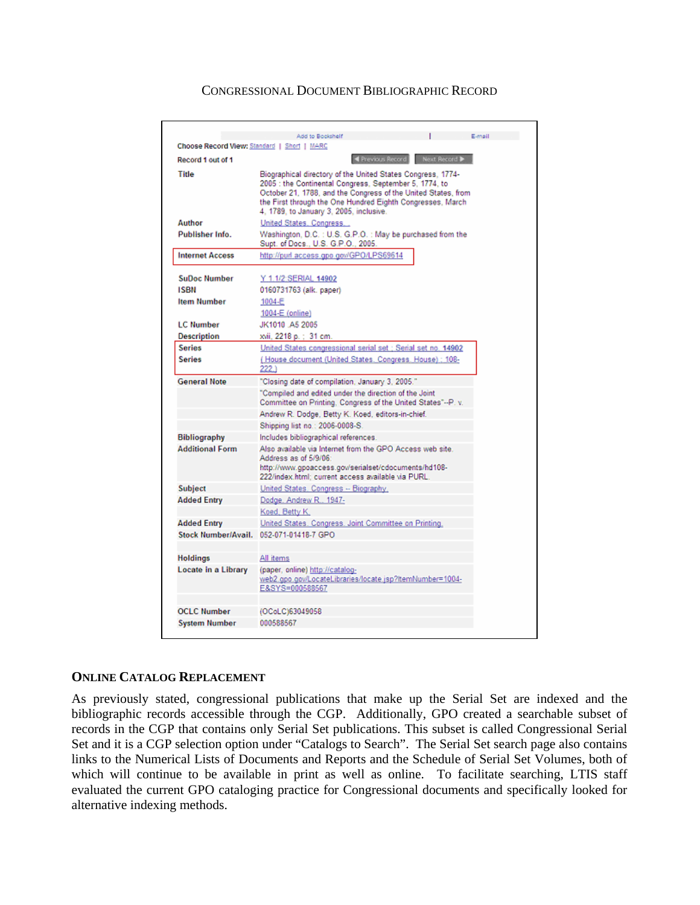#### CONGRESSIONAL DOCUMENT BIBLIOGRAPHIC RECORD

| Choose Record View: Standard   Short   MARC | E-mail<br>Add to Bookshelf                                                                                                                                                                       |  |  |  |  |  |  |
|---------------------------------------------|--------------------------------------------------------------------------------------------------------------------------------------------------------------------------------------------------|--|--|--|--|--|--|
|                                             |                                                                                                                                                                                                  |  |  |  |  |  |  |
| Record 1 out of 1                           | ◀ Previous Record Next Record ▶                                                                                                                                                                  |  |  |  |  |  |  |
| Title                                       | Biographical directory of the United States Congress, 1774-<br>2005 : the Continental Congress, September 5, 1774, to<br>October 21, 1788, and the Congress of the United States, from           |  |  |  |  |  |  |
|                                             | the First through the One Hundred Eighth Congresses, March<br>4, 1789, to January 3, 2005, inclusive.                                                                                            |  |  |  |  |  |  |
| Author                                      | United States, Congress                                                                                                                                                                          |  |  |  |  |  |  |
| Publisher Info.                             | Washington, D.C.: U.S. G.P.O.: May be purchased from the<br>Supt. of Docs., U.S. G.P.O., 2005.                                                                                                   |  |  |  |  |  |  |
| <b>Internet Access</b>                      | http://purl.access.gpo.gov/GPO/LPS69614                                                                                                                                                          |  |  |  |  |  |  |
| <b>SuDoc Number</b>                         | Y 1.1/2:SERIAL 14902                                                                                                                                                                             |  |  |  |  |  |  |
| <b>ISBN</b>                                 | 0160731763 (alk. paper)                                                                                                                                                                          |  |  |  |  |  |  |
| <b>Item Number</b>                          | 1004-E                                                                                                                                                                                           |  |  |  |  |  |  |
|                                             | 1004-E (online)                                                                                                                                                                                  |  |  |  |  |  |  |
| <b>LC Number</b>                            | JK1010 A5 2005                                                                                                                                                                                   |  |  |  |  |  |  |
| <b>Description</b>                          | xvii, 2218 p. ; 31 cm.                                                                                                                                                                           |  |  |  |  |  |  |
| <b>Series</b>                               | United States congressional serial set : Serial set no. 14902                                                                                                                                    |  |  |  |  |  |  |
| Series                                      | (House document (United States, Congress, House); 108-<br>222.)                                                                                                                                  |  |  |  |  |  |  |
| <b>General Note</b>                         | "Closing date of compilation, January 3, 2005."                                                                                                                                                  |  |  |  |  |  |  |
|                                             | "Compiled and edited under the direction of the Joint<br>Committee on Printing, Congress of the United States"--P. v.                                                                            |  |  |  |  |  |  |
|                                             | Andrew R. Dodge, Betty K. Koed, editors-in-chief.                                                                                                                                                |  |  |  |  |  |  |
|                                             | Shipping list no.: 2006-0008-S.                                                                                                                                                                  |  |  |  |  |  |  |
| <b>Bibliography</b>                         | Includes bibliographical references.                                                                                                                                                             |  |  |  |  |  |  |
| <b>Additional Form</b>                      | Also available via Internet from the GPO Access web site.<br>Address as of 5/9/06:<br>http://www.gpoaccess.gov/serialset/cdocuments/hd108-<br>222/index.html: current access available via PURL. |  |  |  |  |  |  |
| <b>Subject</b>                              | United States, Congress -- Biography,                                                                                                                                                            |  |  |  |  |  |  |
| <b>Added Entry</b>                          | Dodge, Andrew R., 1947-                                                                                                                                                                          |  |  |  |  |  |  |
|                                             | Koed, Betty K.                                                                                                                                                                                   |  |  |  |  |  |  |
| <b>Added Entry</b>                          | United States, Congress, Joint Committee on Printing,                                                                                                                                            |  |  |  |  |  |  |
| Stock Number/Avail.                         | 052-071-01418-7 GPO                                                                                                                                                                              |  |  |  |  |  |  |
|                                             |                                                                                                                                                                                                  |  |  |  |  |  |  |
| <b>Holdings</b>                             | All items                                                                                                                                                                                        |  |  |  |  |  |  |
| Locate in a Library                         | (paper, online) http://catalog-                                                                                                                                                                  |  |  |  |  |  |  |
|                                             | web2.gpp.gov/LocateLibraries/locate.jsp?ltemNumber=1004-<br>E&SYS=000588567                                                                                                                      |  |  |  |  |  |  |
|                                             |                                                                                                                                                                                                  |  |  |  |  |  |  |
| <b>OCLC Number</b>                          | (OCoLC)63049058                                                                                                                                                                                  |  |  |  |  |  |  |
| <b>System Number</b>                        | 000588567                                                                                                                                                                                        |  |  |  |  |  |  |

#### **ONLINE CATALOG REPLACEMENT**

As previously stated, congressional publications that make up the Serial Set are indexed and the bibliographic records accessible through the CGP. Additionally, GPO created a searchable subset of records in the CGP that contains only Serial Set publications. This subset is called Congressional Serial Set and it is a CGP selection option under "Catalogs to Search". The Serial Set search page also contains links to the Numerical Lists of Documents and Reports and the Schedule of Serial Set Volumes, both of which will continue to be available in print as well as online. To facilitate searching, LTIS staff evaluated the current GPO cataloging practice for Congressional documents and specifically looked for alternative indexing methods.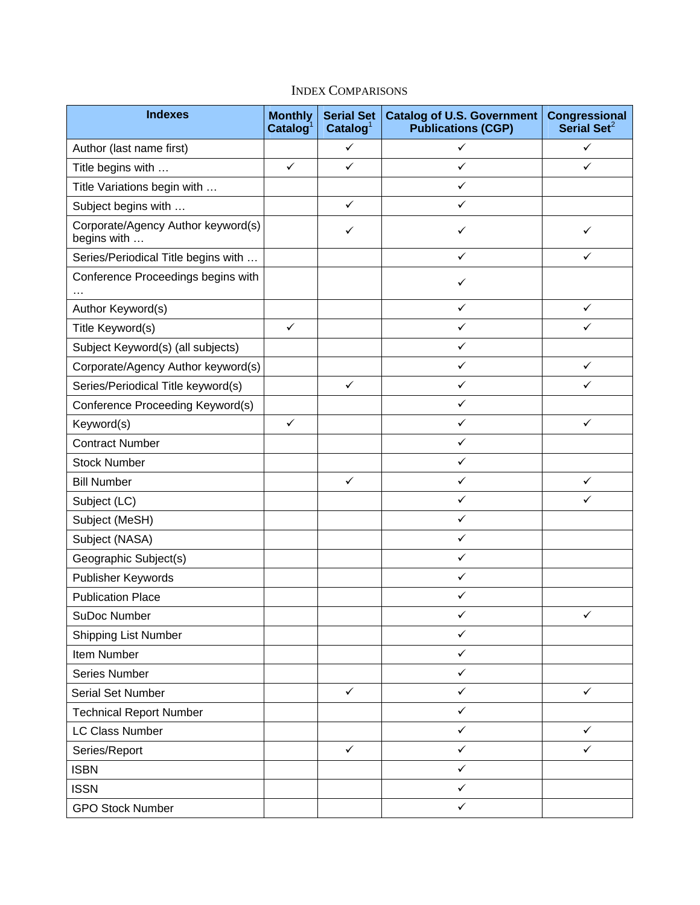| <b>Indexes</b>                                    | <b>Monthly</b><br>$\text{Catalog}^1$ | <b>Serial Set</b><br>$\text{Catalog}^1$ | <b>Catalog of U.S. Government</b><br><b>Publications (CGP)</b> | <b>Congressional</b><br>Serial Set <sup>2</sup> |
|---------------------------------------------------|--------------------------------------|-----------------------------------------|----------------------------------------------------------------|-------------------------------------------------|
| Author (last name first)                          |                                      | $\checkmark$                            | $\checkmark$                                                   | $\checkmark$                                    |
| Title begins with                                 | $\checkmark$                         | $\checkmark$                            | ✓                                                              | ✓                                               |
| Title Variations begin with                       |                                      |                                         | ✓                                                              |                                                 |
| Subject begins with                               |                                      | $\checkmark$                            | $\checkmark$                                                   |                                                 |
| Corporate/Agency Author keyword(s)<br>begins with |                                      | ✓                                       | $\checkmark$                                                   | ✓                                               |
| Series/Periodical Title begins with               |                                      |                                         | ✓                                                              | ✓                                               |
| Conference Proceedings begins with                |                                      |                                         | ✓                                                              |                                                 |
| Author Keyword(s)                                 |                                      |                                         | $\checkmark$                                                   | $\checkmark$                                    |
| Title Keyword(s)                                  | $\checkmark$                         |                                         | ✓                                                              | ✓                                               |
| Subject Keyword(s) (all subjects)                 |                                      |                                         | $\checkmark$                                                   |                                                 |
| Corporate/Agency Author keyword(s)                |                                      |                                         | $\checkmark$                                                   | $\checkmark$                                    |
| Series/Periodical Title keyword(s)                |                                      | $\checkmark$                            | $\checkmark$                                                   | ✓                                               |
| Conference Proceeding Keyword(s)                  |                                      |                                         | $\checkmark$                                                   |                                                 |
| Keyword(s)                                        | $\checkmark$                         |                                         | $\checkmark$                                                   | ✓                                               |
| <b>Contract Number</b>                            |                                      |                                         | $\checkmark$                                                   |                                                 |
| <b>Stock Number</b>                               |                                      |                                         | $\checkmark$                                                   |                                                 |
| <b>Bill Number</b>                                |                                      | $\checkmark$                            | $\checkmark$                                                   | ✓                                               |
| Subject (LC)                                      |                                      |                                         | $\checkmark$                                                   | ✓                                               |
| Subject (MeSH)                                    |                                      |                                         | $\checkmark$                                                   |                                                 |
| Subject (NASA)                                    |                                      |                                         | $\checkmark$                                                   |                                                 |
| Geographic Subject(s)                             |                                      |                                         | $\checkmark$                                                   |                                                 |
| Publisher Keywords                                |                                      |                                         | $\checkmark$                                                   |                                                 |
| <b>Publication Place</b>                          |                                      |                                         | $\checkmark$                                                   |                                                 |
| SuDoc Number                                      |                                      |                                         |                                                                | ✓                                               |
| <b>Shipping List Number</b>                       |                                      |                                         | $\checkmark$                                                   |                                                 |
| Item Number                                       |                                      |                                         | ✓                                                              |                                                 |
| Series Number                                     |                                      |                                         | $\checkmark$                                                   |                                                 |
| Serial Set Number                                 |                                      | $\checkmark$                            | ✓                                                              | $\checkmark$                                    |
| <b>Technical Report Number</b>                    |                                      |                                         | $\checkmark$                                                   |                                                 |
| <b>LC Class Number</b>                            |                                      |                                         | $\checkmark$                                                   | $\checkmark$                                    |
| Series/Report                                     |                                      | $\checkmark$                            | $\checkmark$                                                   | ✓                                               |
| <b>ISBN</b>                                       |                                      |                                         | $\checkmark$                                                   |                                                 |
| <b>ISSN</b>                                       |                                      |                                         | $\checkmark$                                                   |                                                 |
| <b>GPO Stock Number</b>                           |                                      |                                         | $\checkmark$                                                   |                                                 |

# INDEX COMPARISONS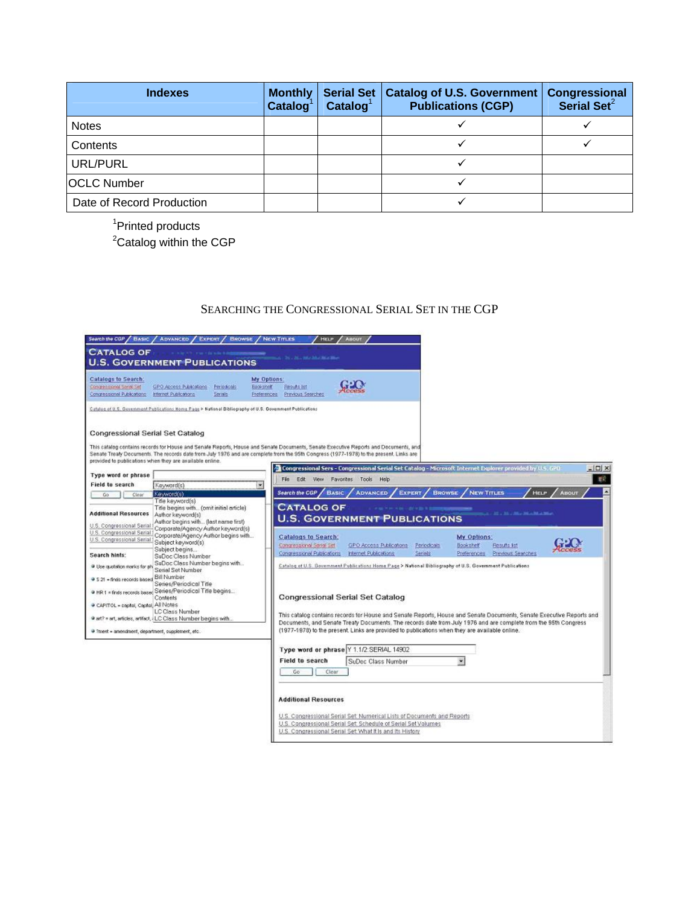| <b>Indexes</b>            | <b>Monthly</b><br>$\text{Catalog}^1$ | <b>Serial Set</b><br>$\mathbf{Catalog}^1$ | Catalog of U.S. Government  <br><b>Publications (CGP)</b> | Congressional<br>Serial Set <sup>2</sup> |
|---------------------------|--------------------------------------|-------------------------------------------|-----------------------------------------------------------|------------------------------------------|
| <b>Notes</b>              |                                      |                                           |                                                           |                                          |
| Contents                  |                                      |                                           |                                                           |                                          |
| <b>URL/PURL</b>           |                                      |                                           |                                                           |                                          |
| <b>OCLC Number</b>        |                                      |                                           |                                                           |                                          |
| Date of Record Production |                                      |                                           |                                                           |                                          |

<sup>1</sup>Printed products

<sup>2</sup>Catalog within the CGP

### SEARCHING THE CONGRESSIONAL SERIAL SET IN THE CGP

| Search the CGP / BASIC / ADVANCED / EXPERT / BROWSE / NEW TITLES                                                                                                                                                                                                                                             |                                                                                                                                                                                                                                                                                                                                                                                                                                                                                                                                 |                         |                                                       | <b>HELP</b>                                                                 | <b>ABOUT</b>                                                                                                              |                                                                                                                                               |                                                                                                                                                                                                                                                                                                                                                                                                                                                                    |                                                                                                                      |
|--------------------------------------------------------------------------------------------------------------------------------------------------------------------------------------------------------------------------------------------------------------------------------------------------------------|---------------------------------------------------------------------------------------------------------------------------------------------------------------------------------------------------------------------------------------------------------------------------------------------------------------------------------------------------------------------------------------------------------------------------------------------------------------------------------------------------------------------------------|-------------------------|-------------------------------------------------------|-----------------------------------------------------------------------------|---------------------------------------------------------------------------------------------------------------------------|-----------------------------------------------------------------------------------------------------------------------------------------------|--------------------------------------------------------------------------------------------------------------------------------------------------------------------------------------------------------------------------------------------------------------------------------------------------------------------------------------------------------------------------------------------------------------------------------------------------------------------|----------------------------------------------------------------------------------------------------------------------|
| <b>CATALOG OF</b>                                                                                                                                                                                                                                                                                            |                                                                                                                                                                                                                                                                                                                                                                                                                                                                                                                                 |                         |                                                       | <b>COLLEGE AND ME AND MEASURE</b>                                           |                                                                                                                           |                                                                                                                                               |                                                                                                                                                                                                                                                                                                                                                                                                                                                                    |                                                                                                                      |
|                                                                                                                                                                                                                                                                                                              | <b>U.S. GOVERNMENT PUBLICATIONS</b>                                                                                                                                                                                                                                                                                                                                                                                                                                                                                             |                         |                                                       |                                                                             |                                                                                                                           |                                                                                                                                               |                                                                                                                                                                                                                                                                                                                                                                                                                                                                    |                                                                                                                      |
| Catalogs to Search:<br>Concretizional Serial Set<br>Concressional Publications                                                                                                                                                                                                                               | GPO Aboras Publications<br>Internet Publications                                                                                                                                                                                                                                                                                                                                                                                                                                                                                | Periodicals<br>Serialis | My Options:<br><b>Bookshair</b><br><b>Preferences</b> | Results list<br>Previous Searches                                           |                                                                                                                           |                                                                                                                                               |                                                                                                                                                                                                                                                                                                                                                                                                                                                                    |                                                                                                                      |
|                                                                                                                                                                                                                                                                                                              | Catalog of U.S. Government Publications Home Page > National Bibliography of U.S. Government Publications                                                                                                                                                                                                                                                                                                                                                                                                                       |                         |                                                       |                                                                             |                                                                                                                           |                                                                                                                                               |                                                                                                                                                                                                                                                                                                                                                                                                                                                                    |                                                                                                                      |
| <b>Congressional Serial Set Catalog</b>                                                                                                                                                                                                                                                                      |                                                                                                                                                                                                                                                                                                                                                                                                                                                                                                                                 |                         |                                                       |                                                                             |                                                                                                                           |                                                                                                                                               |                                                                                                                                                                                                                                                                                                                                                                                                                                                                    |                                                                                                                      |
|                                                                                                                                                                                                                                                                                                              | This catalog contains records for House and Senate Reports, House and Senate Documents, Senate Executive Reports and Documents, and<br>Senate Treaty Documents. The records date from July 1976 and are complete from the 95th Congress (1977-1978) to the present. Links are<br>provided to publications when they are available online.                                                                                                                                                                                       |                         |                                                       |                                                                             |                                                                                                                           |                                                                                                                                               | <sup>2</sup> Congressional Sers - Congressional Serial Set Catalog - Microsoft Internet Explorer provided by U.S. GPD                                                                                                                                                                                                                                                                                                                                              | $=$ $\Box$ $\times$                                                                                                  |
| Type word or phrase                                                                                                                                                                                                                                                                                          |                                                                                                                                                                                                                                                                                                                                                                                                                                                                                                                                 |                         |                                                       |                                                                             | File Edit View Favorites Tools Help                                                                                       |                                                                                                                                               |                                                                                                                                                                                                                                                                                                                                                                                                                                                                    |                                                                                                                      |
| Field to search                                                                                                                                                                                                                                                                                              | Keyword(s)                                                                                                                                                                                                                                                                                                                                                                                                                                                                                                                      |                         |                                                       |                                                                             |                                                                                                                           |                                                                                                                                               |                                                                                                                                                                                                                                                                                                                                                                                                                                                                    |                                                                                                                      |
| Go<br>Clear                                                                                                                                                                                                                                                                                                  | Keyword(s)<br>Title keyword(s)                                                                                                                                                                                                                                                                                                                                                                                                                                                                                                  |                         |                                                       | Search the CGP /                                                            | <b>BASIC</b><br><b>ADVANCED</b>                                                                                           | <b>EXPERT</b><br><b>BROWSE</b>                                                                                                                | <b>NEW TITLES</b>                                                                                                                                                                                                                                                                                                                                                                                                                                                  | <b>HELP</b><br><b>ABOUT</b>                                                                                          |
| <b>Additional Resources</b><br>U.S. Congressional Serial<br>U.S. Congressional Serial<br>U.S. Congressional Serial<br>Search hints:<br><sup>18</sup> Use quotation marks for ph<br>2 S 21 - finds records based<br>CAPITOL = capital, Capital All Notes<br>2 ?ment = amendment, department, supplement, etc. | Trie begins with (omit initial article)<br>Author keyword(s)<br>Author begins with (last name first)<br>Corporate/Agency Author keyword(s)<br>Corporate/Agency Author begins with<br>Subject keyword(s)<br>Subject begins<br>SuDoc Class Number<br>SuDoc Class Number begins with<br>Serial Set Number<br><b>Bill Number</b><br>Series/Periodical Title<br>In HR1 = finds records based Series/Periodical Title begins<br>Contents<br><b>LC Class Number</b><br># art? = art, articles, artifact, i LC Class Number begins with |                         |                                                       | <b>CATALOG OF</b><br><b>Catalogs to Search:</b><br>Congressional Serial Set | Congressional Publications Internet Publications<br><b>Congressional Serial Set Catalog</b>                               | THE P. P. LEWIS CO., LANSING, MICH. 49-14039-1-120-2<br><b>U.S. GOVERNMENT PUBLICATIONS</b><br>GPO Access Publications Periodicals<br>Serials | <b>COLLECTIVE AND ARRESTS MADE AND ALL PROPERTY</b><br>My Options:<br>Bookshelf<br>Results list<br>Preferences Previous Searches<br>Catalog of U.S. Government Publications Home Page > National Bibliography of U.S. Government Publications<br>Documents, and Senate Treaty Documents. The records date trom July 1976 and are complete from the 95th Congress<br>(1977-1978) to the present. Links are provided to publications when they are available online. | This catalog contains records for House and Senate Reports, House and Senate Documents, Senate Executive Reports and |
|                                                                                                                                                                                                                                                                                                              |                                                                                                                                                                                                                                                                                                                                                                                                                                                                                                                                 |                         |                                                       | <b>Field to search</b><br>Go                                                | Type word or phrase Y 1.1/2:SERIAL 14902<br>SuDoc Class Number<br>Clear                                                   |                                                                                                                                               |                                                                                                                                                                                                                                                                                                                                                                                                                                                                    |                                                                                                                      |
|                                                                                                                                                                                                                                                                                                              |                                                                                                                                                                                                                                                                                                                                                                                                                                                                                                                                 |                         |                                                       | <b>Additional Resources</b>                                                 | U.S. Congressional Serial Set: Schedule of Serial Set Volumes<br>U.S. Congressional Serial Set What It Is and Its History | U.S. Congressional Serial Set: Numerical Lists of Documents and Reports                                                                       |                                                                                                                                                                                                                                                                                                                                                                                                                                                                    |                                                                                                                      |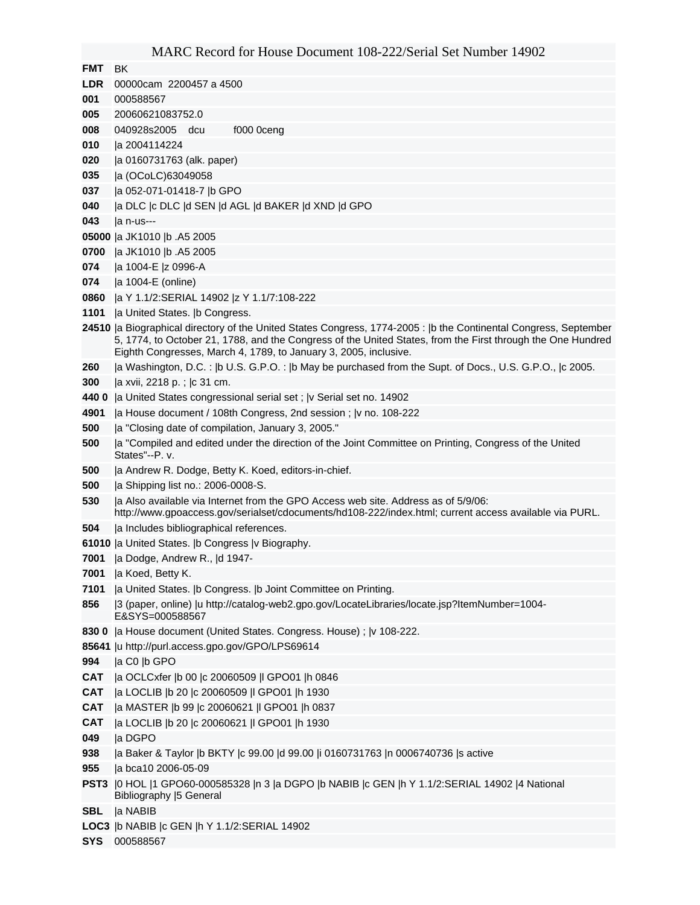#### MARC Record for House Document 108-222/Serial Set Number 14902

**FMT** BK

- **LDR** 00000cam 2200457 a 4500
- 000588567
- 20060621083752.0
- 040928s2005 dcu f000 0ceng
- |a 2004114224
- |a 0160731763 (alk. paper)
- |a (OCoLC)63049058
- |a 052-071-01418-7 |b GPO
- |a DLC |c DLC |d SEN |d AGL |d BAKER |d XND |d GPO
- |a n-us---
- |a JK1010 |b .A5 2005
- |a JK1010 |b .A5 2005
- |a 1004-E |z 0996-A
- |a 1004-E (online)
- |a Y 1.1/2:SERIAL 14902 |z Y 1.1/7:108-222
- **|a United States. |b Congress.**
- |a Biographical directory of the United States Congress, 1774-2005 : |b the Continental Congress, September 5, 1774, to October 21, 1788, and the Congress of the United States, from the First through the One Hundred Eighth Congresses, March 4, 1789, to January 3, 2005, inclusive.
- |a Washington, D.C. : |b U.S. G.P.O. : |b May be purchased from the Supt. of Docs., U.S. G.P.O., |c 2005.
- |a xvii, 2218 p. ; |c 31 cm.
- **440 0** |a United States congressional serial set ; |v Serial set no. 14902
- |a House document / 108th Congress, 2nd session ; |v no. 108-222
- |a "Closing date of compilation, January 3, 2005."
- |a "Compiled and edited under the direction of the Joint Committee on Printing, Congress of the United States"--P. v.
- |a Andrew R. Dodge, Betty K. Koed, editors-in-chief.
- |a Shipping list no.: 2006-0008-S.
- |a Also available via Internet from the GPO Access web site. Address as of 5/9/06: http://www.gpoaccess.gov/serialset/cdocuments/hd108-222/index.html; current access available via PURL.
- |a Includes bibliographical references.
- |a United States. |b Congress |v Biography.
- |a Dodge, Andrew R., |d 1947-
- |a Koed, Betty K.
- |a United States. |b Congress. |b Joint Committee on Printing.
- |3 (paper, online) |u http://catalog-web2.gpo.gov/LocateLibraries/locate.jsp?ItemNumber=1004- E&SYS=000588567
- **830 0** |a House document (United States. Congress. House) ; |v 108-222.
- |u http://purl.access.gpo.gov/GPO/LPS69614
- |a C0 |b GPO
- **CAT** |a OCLCxfer |b 00 |c 20060509 |l GPO01 |h 0846
- **CAT** |a LOCLIB |b 20 |c 20060509 |l GPO01 |h 1930
- **CAT** |a MASTER |b 99 |c 20060621 |l GPO01 |h 0837
- **CAT** |a LOCLIB |b 20 |c 20060621 |l GPO01 |h 1930
- |a DGPO
- |a Baker & Taylor |b BKTY |c 99.00 |d 99.00 |i 0160731763 |n 0006740736 |s active
- |a bca10 2006-05-09
- **PST3** |0 HOL |1 GPO60-000585328 |n 3 |a DGPO |b NABIB |c GEN |h Y 1.1/2:SERIAL 14902 |4 National Bibliography |5 General
- **SBL** |a NABIB
- **LOC3** |b NABIB |c GEN |h Y 1.1/2:SERIAL 14902
- **SYS** 000588567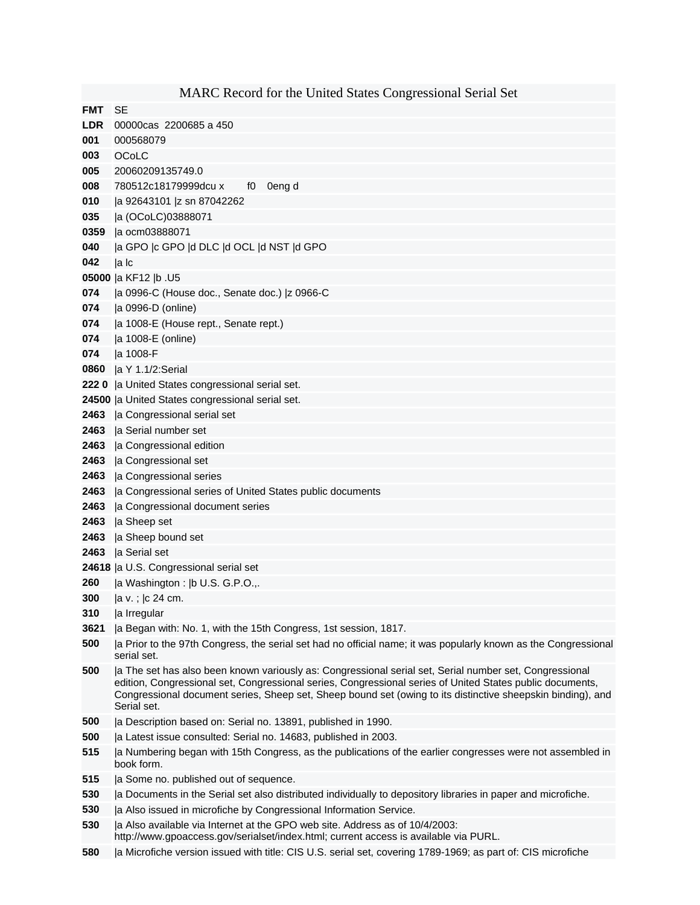|            | MARC Record for the United States Congressional Serial Set                                                                                                                                                                                                                                                                                        |
|------------|---------------------------------------------------------------------------------------------------------------------------------------------------------------------------------------------------------------------------------------------------------------------------------------------------------------------------------------------------|
| <b>FMT</b> | <b>SE</b>                                                                                                                                                                                                                                                                                                                                         |
| <b>LDR</b> | 00000cas 2200685 a 450                                                                                                                                                                                                                                                                                                                            |
| 001        | 000568079                                                                                                                                                                                                                                                                                                                                         |
| 003        | OCoLC                                                                                                                                                                                                                                                                                                                                             |
| 005        | 20060209135749.0                                                                                                                                                                                                                                                                                                                                  |
| 008        | 780512c18179999dcu x<br>0eng d<br>f0                                                                                                                                                                                                                                                                                                              |
| 010        | a 92643101  z sn 87042262                                                                                                                                                                                                                                                                                                                         |
| 035        | a (OCoLC)03888071                                                                                                                                                                                                                                                                                                                                 |
| 0359       | a ocm03888071                                                                                                                                                                                                                                                                                                                                     |
| 040        | a GPO  c GPO  d DLC  d OCL  d NST  d GPO                                                                                                                                                                                                                                                                                                          |
| 042        | a Ic                                                                                                                                                                                                                                                                                                                                              |
|            | 05000  a KF12  b .U5                                                                                                                                                                                                                                                                                                                              |
| 074        | a 0996-C (House doc., Senate doc.)  z 0966-C                                                                                                                                                                                                                                                                                                      |
| 074        | a 0996-D (online)                                                                                                                                                                                                                                                                                                                                 |
| 074        | la 1008-E (House rept., Senate rept.)                                                                                                                                                                                                                                                                                                             |
| 074        | a 1008-E (online)                                                                                                                                                                                                                                                                                                                                 |
| 074        | la 1008-F                                                                                                                                                                                                                                                                                                                                         |
| 0860       | a Y 1.1/2:Serial                                                                                                                                                                                                                                                                                                                                  |
| 2220       | la United States congressional serial set.                                                                                                                                                                                                                                                                                                        |
|            | 24500  a United States congressional serial set.                                                                                                                                                                                                                                                                                                  |
| 2463       | la Congressional serial set                                                                                                                                                                                                                                                                                                                       |
| 2463       | la Serial number set                                                                                                                                                                                                                                                                                                                              |
| 2463       | a Congressional edition                                                                                                                                                                                                                                                                                                                           |
| 2463       | a Congressional set                                                                                                                                                                                                                                                                                                                               |
| 2463       | la Congressional series                                                                                                                                                                                                                                                                                                                           |
| 2463       | a Congressional series of United States public documents                                                                                                                                                                                                                                                                                          |
| 2463       | a Congressional document series                                                                                                                                                                                                                                                                                                                   |
| 2463       | a Sheep set                                                                                                                                                                                                                                                                                                                                       |
| 2463       | a Sheep bound set                                                                                                                                                                                                                                                                                                                                 |
| 2463       | la Serial set                                                                                                                                                                                                                                                                                                                                     |
|            | 24618  a U.S. Congressional serial set                                                                                                                                                                                                                                                                                                            |
| 260        | la Washington :  b U.S. G.P.O.,.                                                                                                                                                                                                                                                                                                                  |
| 300        | la v.;  c 24 cm.                                                                                                                                                                                                                                                                                                                                  |
| 310        | a Irregular                                                                                                                                                                                                                                                                                                                                       |
| 3621       | a Began with: No. 1, with the 15th Congress, 1st session, 1817.                                                                                                                                                                                                                                                                                   |
| 500        | a Prior to the 97th Congress, the serial set had no official name; it was popularly known as the Congressional<br>serial set.                                                                                                                                                                                                                     |
| 500        | a The set has also been known variously as: Congressional serial set, Serial number set, Congressional<br>edition, Congressional set, Congressional series, Congressional series of United States public documents,<br>Congressional document series, Sheep set, Sheep bound set (owing to its distinctive sheepskin binding), and<br>Serial set. |
| 500        | la Description based on: Serial no. 13891, published in 1990.                                                                                                                                                                                                                                                                                     |
| 500        | a Latest issue consulted: Serial no. 14683, published in 2003.                                                                                                                                                                                                                                                                                    |
| 515        | a Numbering began with 15th Congress, as the publications of the earlier congresses were not assembled in<br>book form.                                                                                                                                                                                                                           |
| 515        | a Some no. published out of sequence.                                                                                                                                                                                                                                                                                                             |
| 530        | a Documents in the Serial set also distributed individually to depository libraries in paper and microfiche.                                                                                                                                                                                                                                      |
| 530        | a Also issued in microfiche by Congressional Information Service.                                                                                                                                                                                                                                                                                 |
| 530        | la Also available via Internet at the GPO web site. Address as of 10/4/2003:                                                                                                                                                                                                                                                                      |
|            | http://www.gpoaccess.gov/serialset/index.html; current access is available via PURL.                                                                                                                                                                                                                                                              |

|a Microfiche version issued with title: CIS U.S. serial set, covering 1789-1969; as part of: CIS microfiche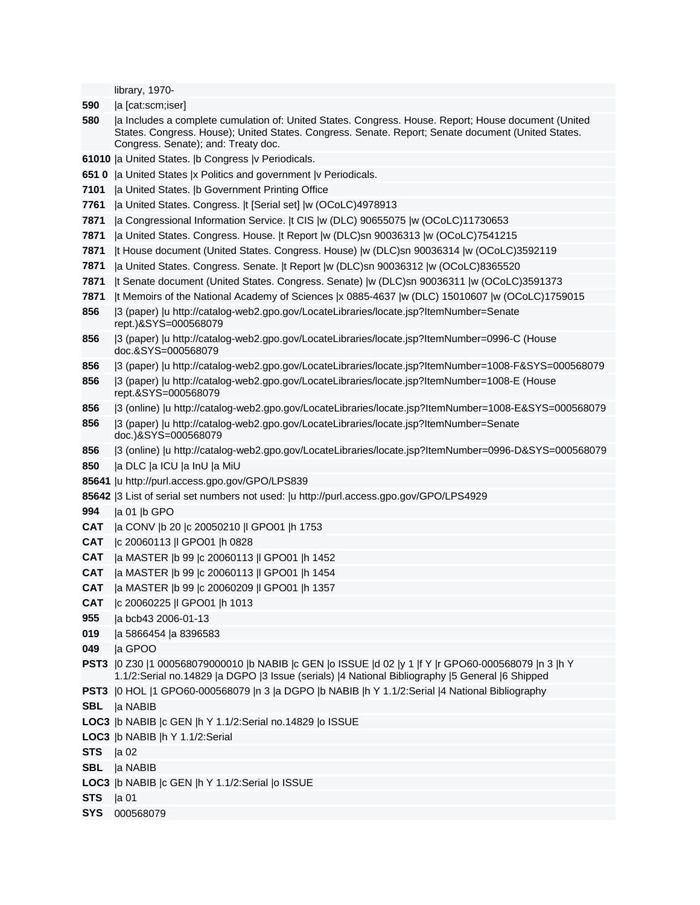library, 1970-

- **590** |a [cat:scm;iser]
- **580** |a Includes a complete cumulation of: United States. Congress. House. Report; House document (United States. Congress. House); United States. Congress. Senate. Report; Senate document (United States. Congress. Senate); and: Treaty doc.
- **61010** |a United States. |b Congress |v Periodicals.
- **651 0** |a United States |x Politics and government |v Periodicals.
- **7101** |a United States. |b Government Printing Office
- **7761** |a United States. Congress. |t [Serial set] |w (OCoLC)4978913
- **7871** |a Congressional Information Service. |t CIS |w (DLC) 90655075 |w (OCoLC)11730653
- **7871** |a United States. Congress. House. |t Report |w (DLC)sn 90036313 |w (OCoLC)7541215
- **7871** |t House document (United States. Congress. House) |w (DLC)sn 90036314 |w (OCoLC)3592119
- **7871** |a United States. Congress. Senate. |t Report |w (DLC)sn 90036312 |w (OCoLC)8365520
- **7871** |t Senate document (United States. Congress. Senate) |w (DLC)sn 90036311 |w (OCoLC)3591373
- **7871** |t Memoirs of the National Academy of Sciences |x 0885-4637 |w (DLC) 15010607 |w (OCoLC)1759015
- **856** |3 (paper) |u http://catalog-web2.gpo.gov/LocateLibraries/locate.jsp?ItemNumber=Senate rept.)&SYS=000568079
- **856** |3 (paper) |u http://catalog-web2.gpo.gov/LocateLibraries/locate.jsp?ItemNumber=0996-C (House doc.&SYS=000568079
- **856** |3 (paper) |u http://catalog-web2.gpo.gov/LocateLibraries/locate.jsp?ItemNumber=1008-F&SYS=000568079
- **856** |3 (paper) |u http://catalog-web2.gpo.gov/LocateLibraries/locate.jsp?ItemNumber=1008-E (House rept.&SYS=000568079
- **856** |3 (online) |u http://catalog-web2.gpo.gov/LocateLibraries/locate.jsp?ItemNumber=1008-E&SYS=000568079
- **856** |3 (paper) |u http://catalog-web2.gpo.gov/LocateLibraries/locate.jsp?ItemNumber=Senate doc.)&SYS=000568079
- **856** |3 (online) |u http://catalog-web2.gpo.gov/LocateLibraries/locate.jsp?ItemNumber=0996-D&SYS=000568079
- **850** |a DLC |a ICU |a InU |a MiU
- **85641** |u http://purl.access.gpo.gov/GPO/LPS839
- **85642** |3 List of serial set numbers not used: |u http://purl.access.gpo.gov/GPO/LPS4929
- **994** |a 01 |b GPO
- **CAT** |a CONV |b 20 |c 20050210 |l GPO01 |h 1753
- **CAT** |c 20060113 |l GPO01 |h 0828
- **CAT** |a MASTER |b 99 |c 20060113 |l GPO01 |h 1452
- **CAT** |a MASTER |b 99 |c 20060113 |l GPO01 |h 1454
- **CAT** |a MASTER |b 99 |c 20060209 |l GPO01 |h 1357
- **CAT** |c 20060225 |l GPO01 |h 1013
- **955** |a bcb43 2006-01-13
- **019** |a 5866454 |a 8396583
- **049** |a GPOO
- **PST3** |0 Z30 |1 000568079000010 |b NABIB |c GEN |o ISSUE |d 02 |y 1 |f Y |r GPO60-000568079 |n 3 |h Y 1.1/2:Serial no.14829 |a DGPO |3 Issue (serials) |4 National Bibliography |5 General |6 Shipped
- **PST3** |0 HOL |1 GPO60-000568079 |n 3 |a DGPO |b NABIB |h Y 1.1/2:Serial |4 National Bibliography
- **SBL** |a NABIB
- **LOC3** |b NABIB |c GEN |h Y 1.1/2:Serial no.14829 |o ISSUE
- **LOC3** |b NABIB |h Y 1.1/2:Serial
- **STS** |a 02
- **SBL** |a NABIB
- **LOC3** |b NABIB |c GEN |h Y 1.1/2:Serial |o ISSUE
- **STS** |a 01
- **SYS** 000568079